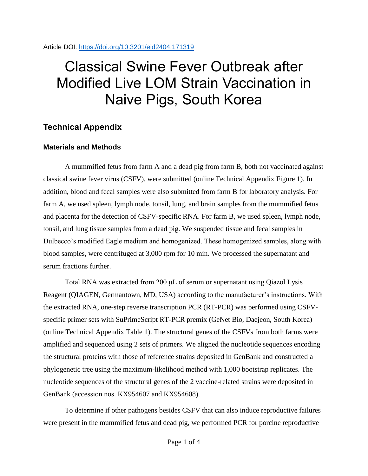Article DOI:<https://doi.org/10.3201/eid2404.171319>

## Classical Swine Fever Outbreak after Modified Live LOM Strain Vaccination in Naive Pigs, South Korea

## **Technical Appendix**

## **Materials and Methods**

A mummified fetus from farm A and a dead pig from farm B, both not vaccinated against classical swine fever virus (CSFV), were submitted (online Technical Appendix Figure 1). In addition, blood and fecal samples were also submitted from farm B for laboratory analysis. For farm A, we used spleen, lymph node, tonsil, lung, and brain samples from the mummified fetus and placenta for the detection of CSFV-specific RNA. For farm B, we used spleen, lymph node, tonsil, and lung tissue samples from a dead pig. We suspended tissue and fecal samples in Dulbecco's modified Eagle medium and homogenized. These homogenized samples, along with blood samples, were centrifuged at 3,000 rpm for 10 min. We processed the supernatant and serum fractions further.

Total RNA was extracted from 200 μL of serum or supernatant using Qiazol Lysis Reagent (QIAGEN, Germantown, MD, USA) according to the manufacturer's instructions. With the extracted RNA, one-step reverse transcription PCR (RT-PCR) was performed using CSFVspecific primer sets with SuPrimeScript RT-PCR premix (GeNet Bio, Daejeon, South Korea) (online Technical Appendix Table 1). The structural genes of the CSFVs from both farms were amplified and sequenced using 2 sets of primers. We aligned the nucleotide sequences encoding the structural proteins with those of reference strains deposited in GenBank and constructed a phylogenetic tree using the maximum-likelihood method with 1,000 bootstrap replicates. The nucleotide sequences of the structural genes of the 2 vaccine-related strains were deposited in GenBank (accession nos. KX954607 and KX954608).

To determine if other pathogens besides CSFV that can also induce reproductive failures were present in the mummified fetus and dead pig, we performed PCR for porcine reproductive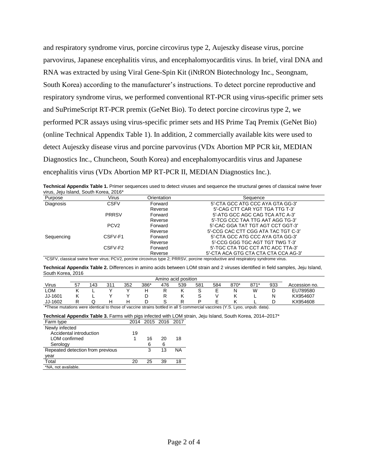and respiratory syndrome virus, porcine circovirus type 2, Aujeszky disease virus, porcine parvovirus, Japanese encephalitis virus, and encephalomyocarditis virus. In brief, viral DNA and RNA was extracted by using Viral Gene-Spin Kit (iNtRON Biotechnology Inc., Seongnam, South Korea) according to the manufacturer's instructions. To detect porcine reproductive and respiratory syndrome virus, we performed conventional RT-PCR using virus-specific primer sets and SuPrimeScript RT-PCR premix (GeNet Bio). To detect porcine circovirus type 2, we performed PCR assays using virus-specific primer sets and HS Prime Taq Premix (GeNet Bio) (online Technical Appendix Table 1). In addition, 2 commercially available kits were used to detect Aujeszky disease virus and porcine parvovirus (VDx Abortion MP PCR kit, MEDIAN Diagnostics Inc., Chuncheon, South Korea) and encephalomyocarditis virus and Japanese encephalitis virus (VDx Abortion MP RT-PCR II, MEDIAN Diagnostics Inc.).

**Technical Appendix Table 1.** Primer sequences used to detect viruses and sequence the structural genes of classical swine fever virus, Jeju Island, South Korea, 2016\*

| Purpose    | Virus            | Orientation | Sequence                             |
|------------|------------------|-------------|--------------------------------------|
| Diagnosis  | <b>CSFV</b>      | Forward     | 5'-CTA GCC ATG CCC AYA GTA GG-3'     |
|            |                  | Reverse     | 5'-CAG CTT CAR YGT TGA TTG T-3'      |
|            | <b>PRRSV</b>     | Forward     | 5'-ATG GCC AGC CAG TCA ATC A-3'      |
|            |                  | Reverse     | 5'-TCG CCC TAA TTG AAT AGG TG-3'     |
|            | PCV <sub>2</sub> | Forward     | 5'-CAC GGA TAT TGT AGT CCT GGT-3'    |
|            |                  | Reverse     | 5'-CCG CAC CTT CGG ATA TAC TGT C-3'  |
| Sequencing | CSFV-F1          | Forward     | 5'-CTA GCC ATG CCC AYA GTA GG-3'     |
|            |                  | Reverse     | 5'-CCG GGG TGC AGT TGT TWG T-3'      |
|            | CSFV-F2          | Forward     | 5'-TGC CTA TGC CCT ATC ACC TTA-3'    |
|            |                  | Reverse     | 5'-CTA ACA GTG CTA CTA CTA CCA AG-3' |

\*CSFV, classical swine fever virus; PCV2, porcine circovirus type 2; PRRSV, porcine reproductive and respiratory syndrome virus.

**Technical Appendix Table 2.** Differences in amino acids between LOM strain and 2 viruses identified in field samples, Jeju Island, South Korea, 2016

| Amino acid position |    |           |     |     |      |          |          |     |        |                      |        |        |               |
|---------------------|----|-----------|-----|-----|------|----------|----------|-----|--------|----------------------|--------|--------|---------------|
| Virus               | 57 | 143       | 311 | 352 | 386* | 476      | 539      | 581 | 584    | 870*                 | $871*$ | 933    | Accession no. |
| <b>LOM</b>          |    | -         |     |     |      |          |          | ບ   | ⊢<br>- |                      | W      | ◡      | EU789580      |
| JJ-1601             |    | -         |     |     |      |          |          | ບ   |        |                      | -      | N      | KX954607      |
| JJ-1602             |    |           | н   | н   |      |          |          |     | ⊢      |                      |        |        | KX954608      |
| $A = 0$<br>.        |    | $\cdot$ . | . . |     |      | $\cdots$ | $\cdots$ |     |        | $\sim$ $\sim$ $\sim$ |        | $\sim$ |               |

**\***These mutations were identical to those of vaccine strains bottled in all 5 commercial vaccines (Y.S. Lyoo, unpub. data).

|           | Technical Appendix Table 3. Farms with pigs infected with LOM strain, Jeju Island, South Korea, 2014–2017* |  |
|-----------|------------------------------------------------------------------------------------------------------------|--|
| Farm type | 2014 2015 2016 2017                                                                                        |  |

| ι απιτιγρο                       |    |    | LUIT LUIU LUIU LUII |    |
|----------------------------------|----|----|---------------------|----|
| Newly infected                   |    |    |                     |    |
| Accidental introduction          | 19 |    |                     |    |
| LOM confirmed                    | 1  | 16 | 20                  | 18 |
| Serology                         |    | 6  | 6                   |    |
| Repeated detection from previous |    | 3  | 13                  | NΑ |
| year                             |    |    |                     |    |
| Total                            | 20 | 25 | 39                  | 18 |
| *NA, not available.              |    |    |                     |    |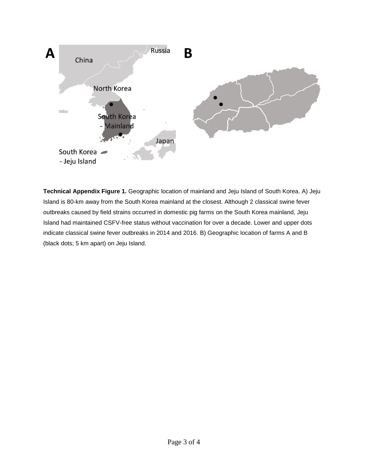

**Technical Appendix Figure 1.** Geographic location of mainland and Jeju Island of South Korea. A) Jeju Island is 80-km away from the South Korea mainland at the closest. Although 2 classical swine fever outbreaks caused by field strains occurred in domestic pig farms on the South Korea mainland, Jeju Island had maintained CSFV-free status without vaccination for over a decade. Lower and upper dots indicate classical swine fever outbreaks in 2014 and 2016. B) Geographic location of farms A and B (black dots; 5 km apart) on Jeju Island.